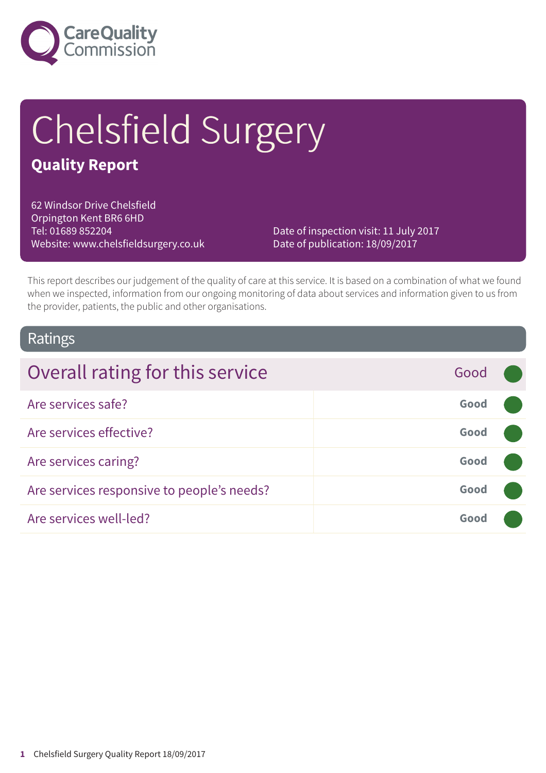

# Chelsfield Surgery

### **Quality Report**

62 Windsor Drive Chelsfield Orpington Kent BR6 6HD Tel: 01689 852204 Website: www.chelsfieldsurgery.co.uk

Date of inspection visit: 11 July 2017 Date of publication: 18/09/2017

This report describes our judgement of the quality of care at this service. It is based on a combination of what we found when we inspected, information from our ongoing monitoring of data about services and information given to us from the provider, patients, the public and other organisations.

### Ratings

| Overall rating for this service            | Good |  |
|--------------------------------------------|------|--|
| Are services safe?                         | Good |  |
| Are services effective?                    | Good |  |
| Are services caring?                       | Good |  |
| Are services responsive to people's needs? | Good |  |
| Are services well-led?                     | Good |  |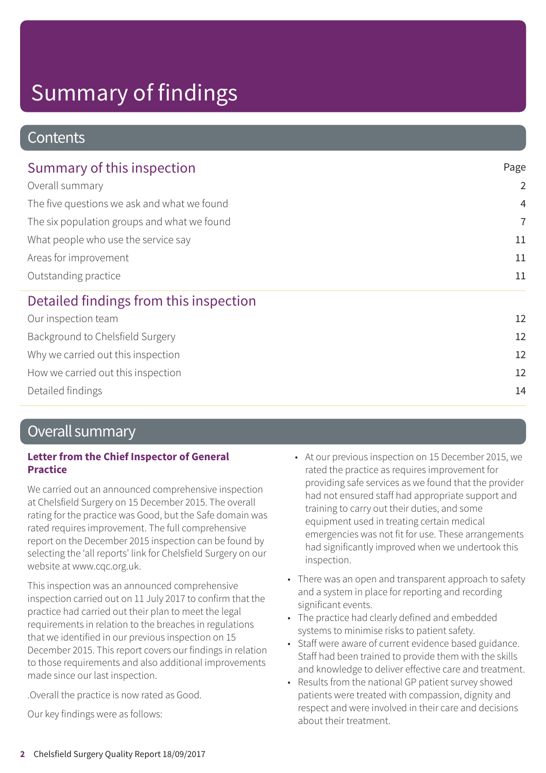### **Contents**

| Summary of this inspection<br>Overall summary<br>The five questions we ask and what we found<br>The six population groups and what we found<br>What people who use the service say<br>Areas for improvement<br>Outstanding practice | Page           |
|-------------------------------------------------------------------------------------------------------------------------------------------------------------------------------------------------------------------------------------|----------------|
|                                                                                                                                                                                                                                     | $\overline{2}$ |
|                                                                                                                                                                                                                                     | $\overline{4}$ |
|                                                                                                                                                                                                                                     | $\overline{7}$ |
|                                                                                                                                                                                                                                     | 11             |
|                                                                                                                                                                                                                                     | 11             |
|                                                                                                                                                                                                                                     | 11             |
| Detailed findings from this inspection                                                                                                                                                                                              |                |
| Our inspection team                                                                                                                                                                                                                 | 12             |
| Background to Chelsfield Surgery                                                                                                                                                                                                    | 12             |
| Why we carried out this inspection                                                                                                                                                                                                  | 12             |
| How we carried out this inspection                                                                                                                                                                                                  | 12             |
| Detailed findings                                                                                                                                                                                                                   | 14             |

### Overall summary

#### **Letter from the Chief Inspector of General Practice**

We carried out an announced comprehensive inspection at Chelsfield Surgery on 15 December 2015. The overall rating for the practice was Good, but the Safe domain was rated requires improvement. The full comprehensive report on the December 2015 inspection can be found by selecting the 'all reports' link for Chelsfield Surgery on our website at www.cqc.org.uk.

This inspection was an announced comprehensive inspection carried out on 11 July 2017 to confirm that the practice had carried out their plan to meet the legal requirements in relation to the breaches in regulations that we identified in our previous inspection on 15 December 2015. This report covers our findings in relation to those requirements and also additional improvements made since our last inspection.

.Overall the practice is now rated as Good.

Our key findings were as follows:

- At our previous inspection on 15 December 2015, we rated the practice as requires improvement for providing safe services as we found that the provider had not ensured staff had appropriate support and training to carry out their duties, and some equipment used in treating certain medical emergencies was not fit for use. These arrangements had significantly improved when we undertook this inspection.
- There was an open and transparent approach to safety and a system in place for reporting and recording significant events.
- The practice had clearly defined and embedded systems to minimise risks to patient safety.
- Staff were aware of current evidence based guidance. Staff had been trained to provide them with the skills and knowledge to deliver effective care and treatment.
- Results from the national GP patient survey showed patients were treated with compassion, dignity and respect and were involved in their care and decisions about their treatment.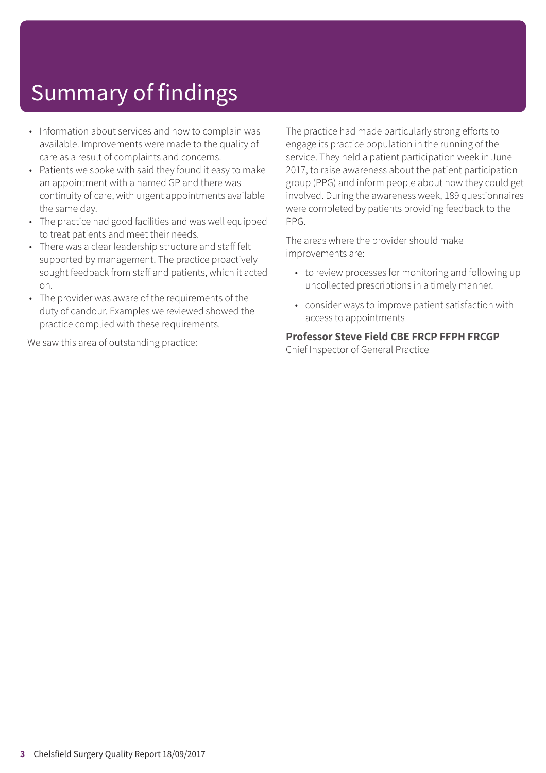- Information about services and how to complain was available. Improvements were made to the quality of care as a result of complaints and concerns.
- Patients we spoke with said they found it easy to make an appointment with a named GP and there was continuity of care, with urgent appointments available the same day.
- The practice had good facilities and was well equipped to treat patients and meet their needs.
- There was a clear leadership structure and staff felt supported by management. The practice proactively sought feedback from staff and patients, which it acted on.
- The provider was aware of the requirements of the duty of candour. Examples we reviewed showed the practice complied with these requirements.

We saw this area of outstanding practice:

The practice had made particularly strong efforts to engage its practice population in the running of the service. They held a patient participation week in June 2017, to raise awareness about the patient participation group (PPG) and inform people about how they could get involved. During the awareness week, 189 questionnaires were completed by patients providing feedback to the PPG.

The areas where the provider should make improvements are:

- to review processes for monitoring and following up uncollected prescriptions in a timely manner.
- consider ways to improve patient satisfaction with access to appointments

#### **Professor Steve Field CBE FRCP FFPH FRCGP**

Chief Inspector of General Practice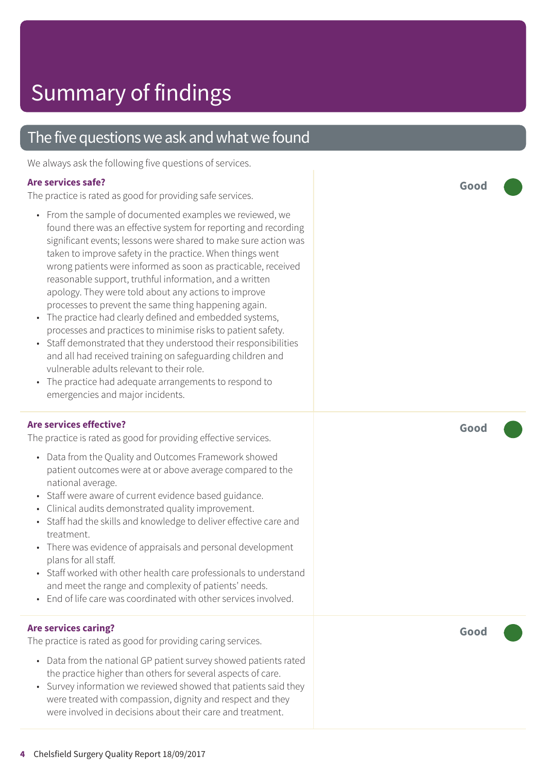### The five questions we ask and what we found

We always ask the following five questions of services.

#### **Are services safe?**

The practice is rated as good for providing safe services.

- From the sample of documented examples we reviewed, we found there was an effective system for reporting and recording significant events; lessons were shared to make sure action was taken to improve safety in the practice. When things went wrong patients were informed as soon as practicable, received reasonable support, truthful information, and a written apology. They were told about any actions to improve processes to prevent the same thing happening again.
- The practice had clearly defined and embedded systems, processes and practices to minimise risks to patient safety.
- Staff demonstrated that they understood their responsibilities and all had received training on safeguarding children and vulnerable adults relevant to their role.
- The practice had adequate arrangements to respond to emergencies and major incidents.

#### **Are services effective?**

The practice is rated as good for providing effective services.

- Data from the Quality and Outcomes Framework showed patient outcomes were at or above average compared to the national average.
- Staff were aware of current evidence based guidance.
- Clinical audits demonstrated quality improvement.
- Staff had the skills and knowledge to deliver effective care and treatment.
- There was evidence of appraisals and personal development plans for all staff.
- Staff worked with other health care professionals to understand and meet the range and complexity of patients' needs.
- End of life care was coordinated with other services involved.

#### **Are services caring?**

The practice is rated as good for providing caring services.

- Data from the national GP patient survey showed patients rated the practice higher than others for several aspects of care.
- Survey information we reviewed showed that patients said they were treated with compassion, dignity and respect and they were involved in decisions about their care and treatment.

**Good –––**

**Good –––**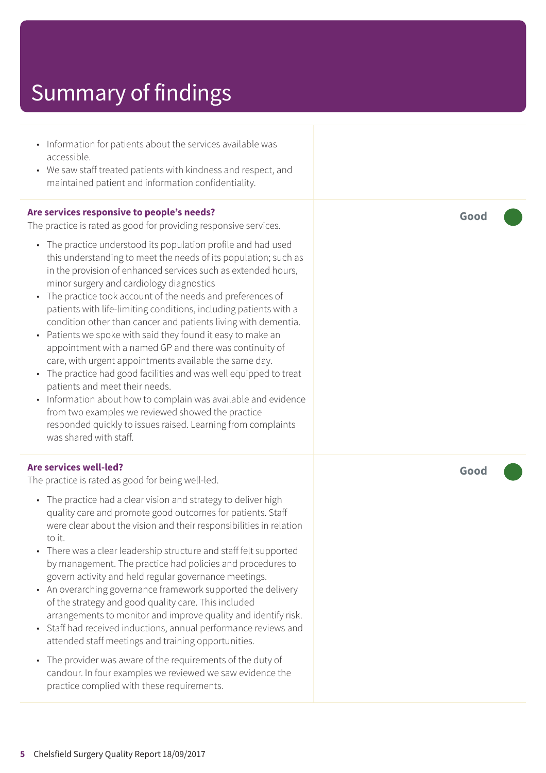- Information for patients about the services available was accessible.
- We saw staff treated patients with kindness and respect, and maintained patient and information confidentiality.

#### **Are services responsive to people's needs?**

The practice is rated as good for providing responsive services.

- The practice understood its population profile and had used this understanding to meet the needs of its population; such as in the provision of enhanced services such as extended hours, minor surgery and cardiology diagnostics
- The practice took account of the needs and preferences of patients with life-limiting conditions, including patients with a condition other than cancer and patients living with dementia.
- Patients we spoke with said they found it easy to make an appointment with a named GP and there was continuity of care, with urgent appointments available the same day.
- The practice had good facilities and was well equipped to treat patients and meet their needs.
- Information about how to complain was available and evidence from two examples we reviewed showed the practice responded quickly to issues raised. Learning from complaints was shared with staff.

#### **Are services well-led?**

The practice is rated as good for being well-led.

- The practice had a clear vision and strategy to deliver high quality care and promote good outcomes for patients. Staff were clear about the vision and their responsibilities in relation to it.
- There was a clear leadership structure and staff felt supported by management. The practice had policies and procedures to govern activity and held regular governance meetings.
- An overarching governance framework supported the delivery of the strategy and good quality care. This included arrangements to monitor and improve quality and identify risk.
- Staff had received inductions, annual performance reviews and attended staff meetings and training opportunities.
- The provider was aware of the requirements of the duty of candour. In four examples we reviewed we saw evidence the practice complied with these requirements.

**Good –––**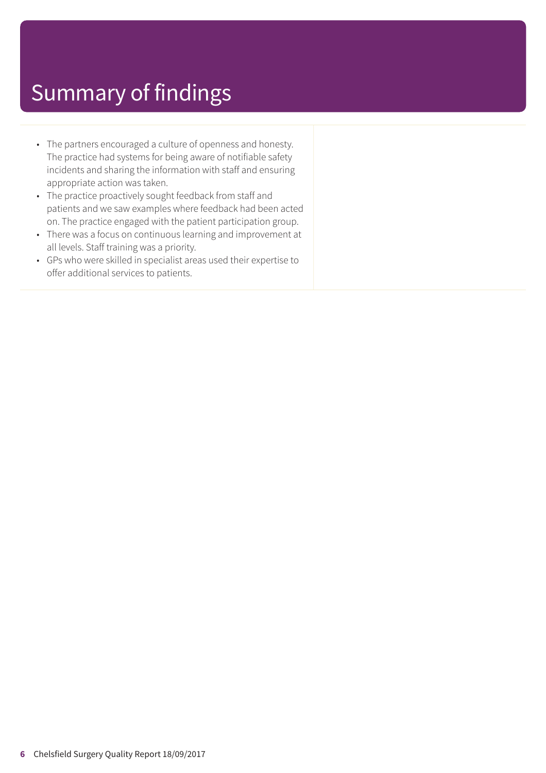- The partners encouraged a culture of openness and honesty. The practice had systems for being aware of notifiable safety incidents and sharing the information with staff and ensuring appropriate action was taken.
- The practice proactively sought feedback from staff and patients and we saw examples where feedback had been acted on. The practice engaged with the patient participation group.
- There was a focus on continuous learning and improvement at all levels. Staff training was a priority.
- GPs who were skilled in specialist areas used their expertise to offer additional services to patients.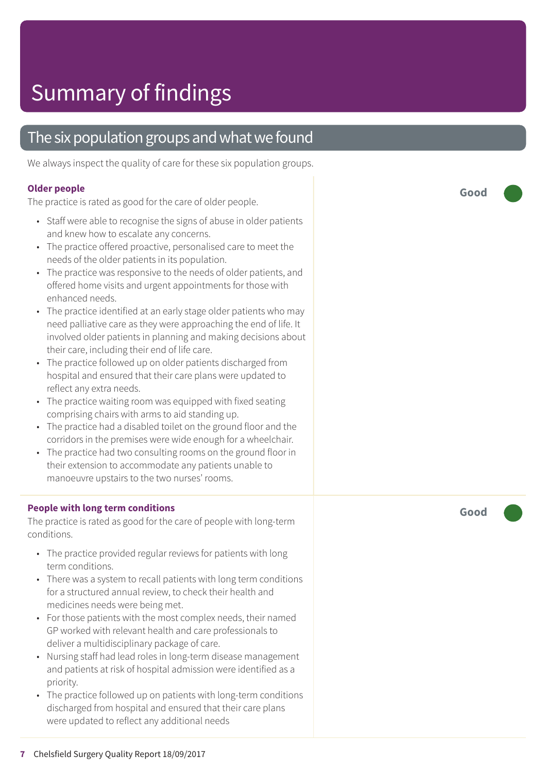### The six population groups and what we found

We always inspect the quality of care for these six population groups.

#### **Older people**

The practice is rated as good for the care of older people.

- Staff were able to recognise the signs of abuse in older patients and kne w how t o escalat e any concerns.
- The practice offered proactive, personalised care to meet the needs of the older patients in its population.
- The practice was responsive to the needs of older patients, and offered home visits and ur gent appointments for those with enhanced needs.
- The practice identified at an early stage older patients who may need palliative care as they were approaching the end of life. It involved older patients in planning and making decisions about their care, including their end of lif e care.
- The practice followed up on older patients discharged from hospital and ensured that their care plans were updated to reflect any extr a needs.
- The practice waiting room was equipped with fixed seating comprising chair s with arms t o aid standing up.
- The practice had a disabled toilet on the ground floor and the corridors in the premises were wide enough for a wheelchair.
- The practice had two consulting rooms on the ground floor in their extension to accommodate any patients unable to manoeuvr e upstair s t o the two nurses' rooms.

#### **People with long term conditions**

The practice is rated as good for the care of people with long-term conditions.

- The practice provided regular reviews for patients with long term conditions.
- There was a system to recall patients with long term conditions for a structured annual review, to check their health and medicines needs wer e being me t.
- For those patients with the most complex needs, their named GP worked with rele vant health and car e professionals t o deliver a multidisciplinar y packag e of care.
- Nursing staff had lead roles in long-term disease management and patients at risk of hospital admission wer e identified as a priority.
- The practice followed up on patients with long-term conditions dischar ged from hospital and ensured that their car e plans were updated to reflect any additional needs

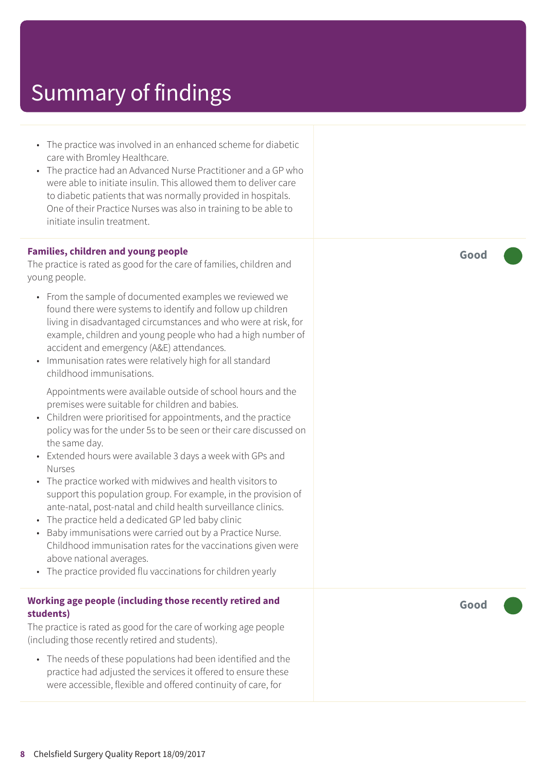- The practice was involved in an enhanced scheme for diabetic care with Bromley Healthcare.
- The practice had an Advanced Nurse Practitioner and a GP who were able to initiate insulin. This allowed them to deliver care to diabetic patients that was normally provided in hospitals. One of their Practice Nurses was also in training to be able to initiate insulin treatment.

#### **Families, children and young people**

The practice is rated as good for the care of families, children and young people.

- From the sample of documented examples we reviewed we found there were systems to identify and follow up children living in disadvantaged circumstances and who were at risk, for example, children and young people who had a high number of accident and emergency (A&E) attendances.
- Immunisation rates were relatively high for all standard childhood immunisations.

Appointments were available outside of school hours and the premises were suitable for children and babies.

- Children were prioritised for appointments, and the practice policy was for the under 5s to be seen or their care discussed on the same day.
- Extended hours were available 3 days a week with GPs and Nurses
- The practice worked with midwives and health visitors to support this population group. For example, in the provision of ante-natal, post-natal and child health surveillance clinics.
- The practice held a dedicated GP led baby clinic
- Baby immunisations were carried out by a Practice Nurse. Childhood immunisation rates for the vaccinations given were above national averages.
- The practice provided flu vaccinations for children yearly

#### **Working age people (including those recently retired and students)**

The practice is rated as good for the care of working age people (including those recently retired and students).

• The needs of these populations had been identified and the practice had adjusted the services it offered to ensure these were accessible, flexible and offered continuity of care, for

**Good –––**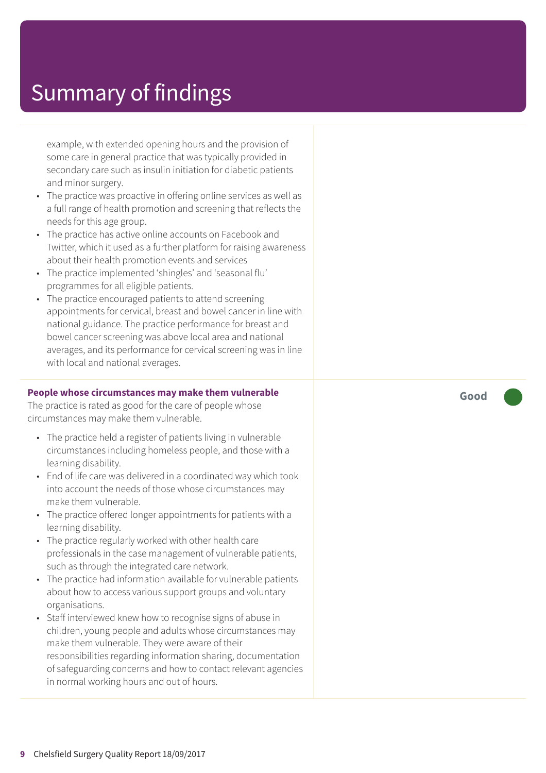example, with extended opening hours and the provision of some care in general practice that was typically provided in secondary care such as insulin initiation for diabetic patients and minor surgery.

- The practice was proactive in offering online services as well as a full range of health promotion and screening that reflects the needs for this age group.
- The practice has active online accounts on Facebook and Twitter, which it used as a further platform for raising awareness about their health promotion events and services
- The practice implemented 'shingles' and 'seasonal flu' programmes for all eligible patients.
- The practice encouraged patients to attend screening appointments for cervical, breast and bowel cancer in line with national guidance. The practice performance for breast and bowel cancer screening was above local area and national averages, and its performance for cervical screening was in line with local and national averages.

#### **People whose circumstances may make them vulnerable**

The practice is rated as good for the care of people whose circumstances may make them vulnerable.

- The practice held a register of patients living in vulnerable circumstances including homeless people, and those with a learning disability.
- End of life care was delivered in a coordinated way which took into account the needs of those whose circumstances may make them vulnerable.
- The practice offered longer appointments for patients with a learning disability.
- The practice regularly worked with other health care professionals in the case management of vulnerable patients, such as through the integrated care network.
- The practice had information available for vulnerable patients about how to access various support groups and voluntary organisations.
- Staff interviewed knew how to recognise signs of abuse in children, young people and adults whose circumstances may make them vulnerable. They were aware of their responsibilities regarding information sharing, documentation of safeguarding concerns and how to contact relevant agencies in normal working hours and out of hours.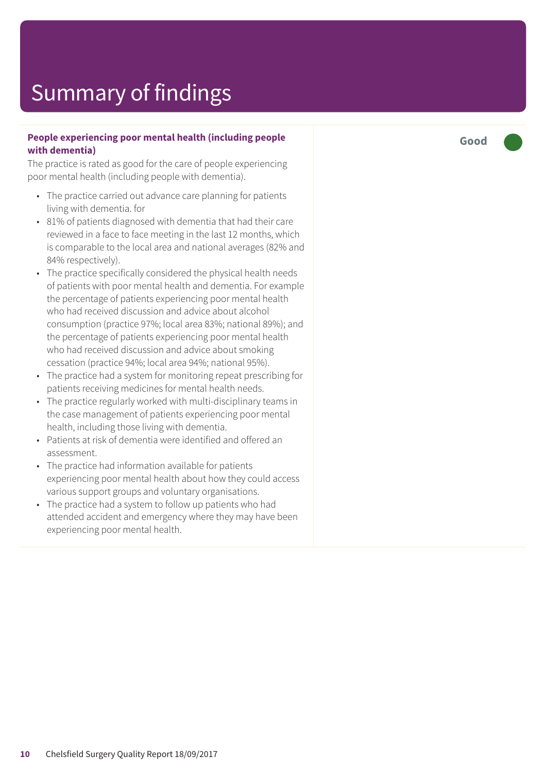#### **People experiencing poor mental health (including people with dementia)**

The practice is rated as good for the care of people experiencing poor mental health (including people with dementia).

- The practice carried out advance care planning for patients living with dementia. for
- 81% of patients diagnosed with dementia that had their care reviewed in a face to face meeting in the last 12 months, which is comparable to the local area and national averages (82% and 84% respectively).
- The practice specifically considered the physical health needs of patients with poor mental health and dementia. For example the percentage of patients experiencing poor mental health who had received discussion and advice about alcohol consumption (practice 97%; local area 83%; national 89%); and the percentage of patients experiencing poor mental health who had received discussion and advice about smoking cessation (practice 94%; local area 94%; national 95%).
- The practice had a system for monitoring repeat prescribing for patients receiving medicines for mental health needs.
- The practice regularly worked with multi-disciplinary teams in the case management of patients experiencing poor mental health, including those living with dementia.
- Patients at risk of dementia were identified and offered an assessment.
- The practice had information available for patients experiencing poor mental health about how they could access various support groups and voluntary organisations.
- The practice had a system to follow up patients who had attended accident and emergency where they may have been experiencing poor mental health.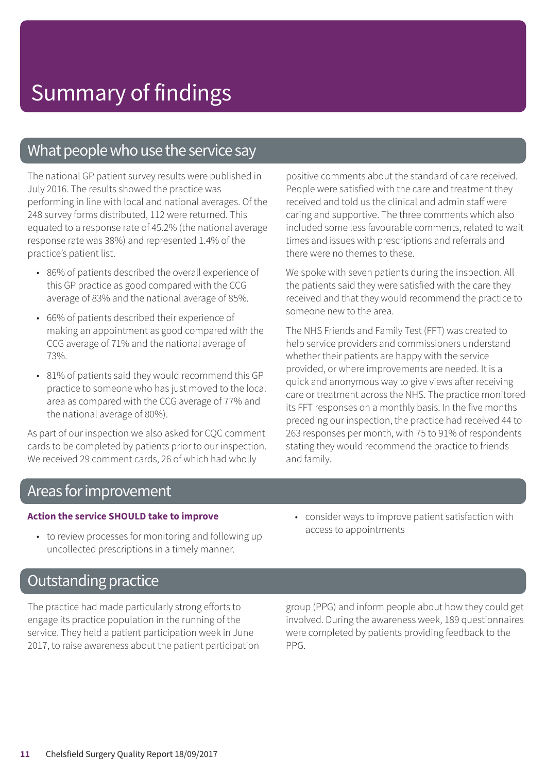### What people who use the service say

The national GP patient survey results were published in July 2016. The results showed the practice was performing in line with local and national averages. Of the 248 survey forms distributed, 112 were returned. This equated to a response rate of 45.2% (the national average response rate was 38%) and represented 1.4% of the practice's patient list.

- 86% of patients described the overall experience of this GP practice as good compared with the CCG average of 83% and the national average of 85%.
- 66% of patients described their experience of making an appointment as good compared with the CCG average of 71% and the national average of 73%.
- 81% of patients said they would recommend this GP practice to someone who has just moved to the local area as compared with the CCG average of 77% and the national average of 80%).

As part of our inspection we also asked for CQC comment cards to be completed by patients prior to our inspection. We received 29 comment cards, 26 of which had wholly

positive comments about the standard of care received. People were satisfied with the care and treatment they received and told us the clinical and admin staff were caring and supportive. The three comments which also included some less favourable comments, related to wait times and issues with prescriptions and referrals and there were no themes to these.

We spoke with seven patients during the inspection. All the patients said they were satisfied with the care they received and that they would recommend the practice to someone new to the area.

The NHS Friends and Family Test (FFT) was created to help service providers and commissioners understand whether their patients are happy with the service provided, or where improvements are needed. It is a quick and anonymous way to give views after receiving care or treatment across the NHS. The practice monitored its FFT responses on a monthly basis. In the five months preceding our inspection, the practice had received 44 to 263 responses per month, with 75 to 91% of respondents stating they would recommend the practice to friends and family.

### Areas for improvement

#### **Action the service SHOULD take to improve**

- to review processes for monitoring and following up uncollected prescriptions in a timely manner.
- consider ways to improve patient satisfaction with access to appointments

### **Outstanding practice**

The practice had made particularly strong efforts to engage its practice population in the running of the service. They held a patient participation week in June 2017, to raise awareness about the patient participation group (PPG) and inform people about how they could get involved. During the awareness week, 189 questionnaires were completed by patients providing feedback to the PPG.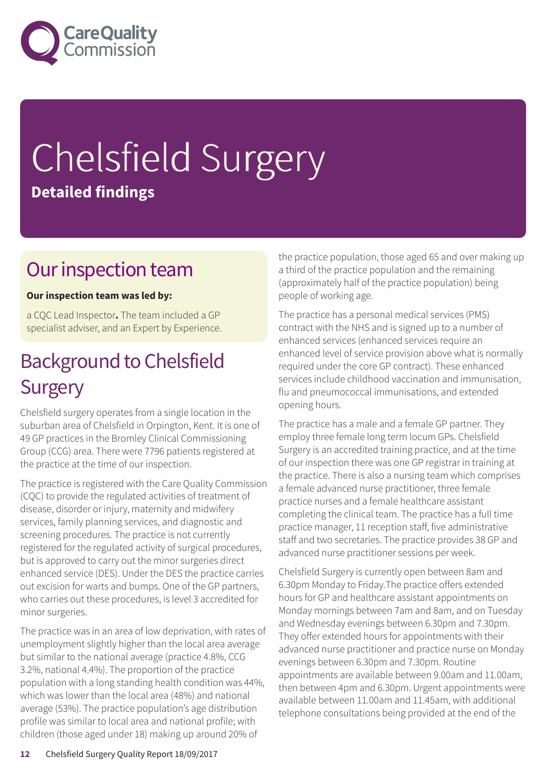

# Chelsfield Surgery **Detailed findings**

### Our inspection team

#### **Our inspection team was led by:**

a CQC Lead Inspector**.** The team included a GP specialist adviser, and an Expert by Experience.

### **Background to Chelsfield Surgery**

Chelsfield surgery operates from a single location in the suburban area of Chelsfield in Orpington, Kent. It is one of 49 GP practices in the Bromley Clinical Commissioning Group (CCG) area. There were 7796 patients registered at the practice at the time of our inspection.

The practice is registered with the Care Quality Commission (CQC) to provide the regulated activities of treatment of disease, disorder or injury, maternity and midwifery services, family planning services, and diagnostic and screening procedures. The practice is not currently registered for the regulated activity of surgical procedures, but is approved to carry out the minor surgeries direct enhanced service (DES). Under the DES the practice carries out excision for warts and bumps. One of the GP partners, who carries out these procedures, is level 3 accredited for minor surgeries.

The practice was in an area of low deprivation, with rates of unemployment slightly higher than the local area average but similar to the national average (practice 4.8%, CCG 3.2%, national 4.4%). The proportion of the practice population with a long standing health condition was 44%, which was lower than the local area (48%) and national average (53%). The practice population's age distribution profile was similar to local area and national profile; with children (those aged under 18) making up around 20% of

the practice population, those aged 65 and over making up a third of the practice population and the remaining (approximately half of the practice population) being people of working age.

The practice has a personal medical services (PMS) contract with the NHS and is signed up to a number of enhanced services (enhanced services require an enhanced level of service provision above what is normally required under the core GP contract). These enhanced services include childhood vaccination and immunisation, flu and pneumococcal immunisations, and extended opening hours.

The practice has a male and a female GP partner. They employ three female long term locum GPs. Chelsfield Surgery is an accredited training practice, and at the time of our inspection there was one GP registrar in training at the practice. There is also a nursing team which comprises a female advanced nurse practitioner, three female practice nurses and a female healthcare assistant completing the clinical team. The practice has a full time practice manager, 11 reception staff, five administrative staff and two secretaries. The practice provides 38 GP and advanced nurse practitioner sessions per week.

Chelsfield Surgery is currently open between 8am and 6.30pm Monday to Friday.The practice offers extended hours for GP and healthcare assistant appointments on Monday mornings between 7am and 8am, and on Tuesday and Wednesday evenings between 6.30pm and 7.30pm. They offer extended hours for appointments with their advanced nurse practitioner and practice nurse on Monday evenings between 6.30pm and 7.30pm. Routine appointments are available between 9.00am and 11.00am, then between 4pm and 6.30pm. Urgent appointments were available between 11.00am and 11.45am, with additional telephone consultations being provided at the end of the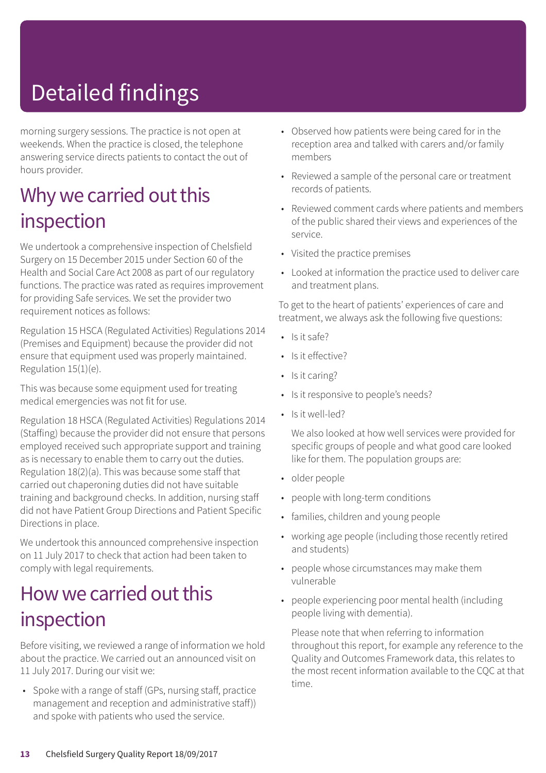# Detailed findings

morning surgery sessions. The practice is not open at weekends. When the practice is closed, the telephone answering service directs patients to contact the out of hours provider.

### Why we carried out this inspection

We undertook a comprehensive inspection of Chelsfield Surgery on 15 December 2015 under Section 60 of the Health and Social Care Act 2008 as part of our regulatory functions. The practice was rated as requires improvement for providing Safe services. We set the provider two requirement notices as follows:

Regulation 15 HSCA (Regulated Activities) Regulations 2014 (Premises and Equipment) because the provider did not ensure that equipment used was properly maintained. Regulation 15(1)(e).

This was because some equipment used for treating medical emergencies was not fit for use.

Regulation 18 HSCA (Regulated Activities) Regulations 2014 (Staffing) because the provider did not ensure that persons employed received such appropriate support and training as is necessary to enable them to carry out the duties. Regulation 18(2)(a). This was because some staff that carried out chaperoning duties did not have suitable training and background checks. In addition, nursing staff did not have Patient Group Directions and Patient Specific Directions in place.

We undertook this announced comprehensive inspection on 11 July 2017 to check that action had been taken to comply with legal requirements.

### How we carried out this inspection

Before visiting, we reviewed a range of information we hold about the practice. We carried out an announced visit on 11 July 2017. During our visit we:

• Spoke with a range of staff (GPs, nursing staff, practice management and reception and administrative staff)) and spoke with patients who used the service.

- Observed how patients were being cared for in the reception area and talked with carers and/or family members
- Reviewed a sample of the personal care or treatment records of patients.
- Reviewed comment cards where patients and members of the public shared their views and experiences of the service.
- Visited the practice premises
- Looked at information the practice used to deliver care and treatment plans.

To get to the heart of patients' experiences of care and treatment, we always ask the following five questions:

- Is it safe?
- Is it effective?
- Is it caring?
- Is it responsive to people's needs?
- Is it well-led?

We also looked at how well services were provided for specific groups of people and what good care looked like for them. The population groups are:

- older people
- people with long-term conditions
- families, children and young people
- working age people (including those recently retired and students)
- people whose circumstances may make them vulnerable
- people experiencing poor mental health (including people living with dementia).

Please note that when referring to information throughout this report, for example any reference to the Quality and Outcomes Framework data, this relates to the most recent information available to the CQC at that time.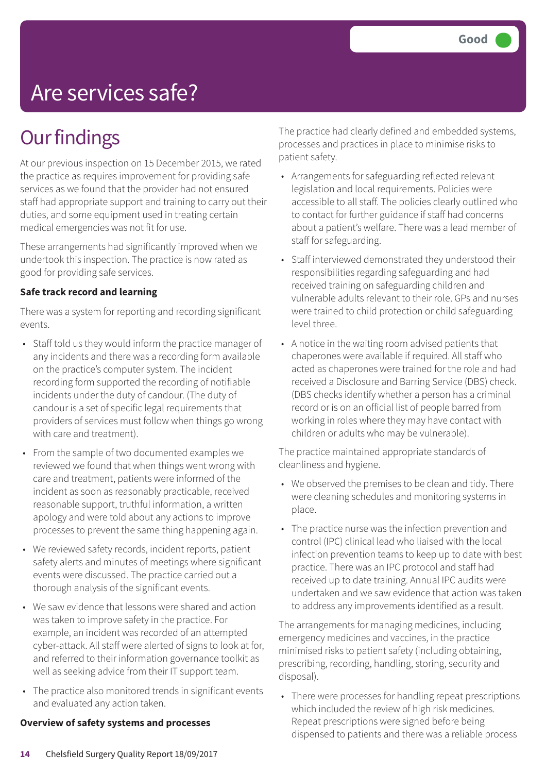# Are services safe?

### **Our findings**

At our previous inspection on 15 December 2015, we rated the practice as requires improvement for providing safe services as we found that the provider had not ensured staff had appropriate support and training to carry out their duties, and some equipment used in treating certain medical emergencies was not fit for use.

These arrangements had significantly improved when we undertook this inspection. The practice is now rated as good for providing safe services.

#### **Safe track record and learning**

There was a system for reporting and recording significant events.

- Staff told us they would inform the practice manager of any incidents and there was a recording form available on the practice's computer system. The incident recording form supported the recording of notifiable incidents under the duty of candour. (The duty of candour is a set of specific legal requirements that providers of services must follow when things go wrong with care and treatment).
- From the sample of two documented examples we reviewed we found that when things went wrong with care and treatment, patients were informed of the incident as soon as reasonably practicable, received reasonable support, truthful information, a written apology and were told about any actions to improve processes to prevent the same thing happening again.
- We reviewed safety records, incident reports, patient safety alerts and minutes of meetings where significant events were discussed. The practice carried out a thorough analysis of the significant events.
- We saw evidence that lessons were shared and action was taken to improve safety in the practice. For example, an incident was recorded of an attempted cyber-attack. All staff were alerted of signs to look at for, and referred to their information governance toolkit as well as seeking advice from their IT support team.
- The practice also monitored trends in significant events and evaluated any action taken.

#### **Overview of safety systems and processes**

The practice had clearly defined and embedded systems, processes and practices in place to minimise risks to patient safety.

- Arrangements for safeguarding reflected relevant legislation and local requirements. Policies were accessible to all staff. The policies clearly outlined who to contact for further guidance if staff had concerns about a patient's welfare. There was a lead member of staff for safeguarding.
- Staff interviewed demonstrated they understood their responsibilities regarding safeguarding and had received training on safeguarding children and vulnerable adults relevant to their role. GPs and nurses were trained to child protection or child safeguarding level three.
- A notice in the waiting room advised patients that chaperones were available if required. All staff who acted as chaperones were trained for the role and had received a Disclosure and Barring Service (DBS) check. (DBS checks identify whether a person has a criminal record or is on an official list of people barred from working in roles where they may have contact with children or adults who may be vulnerable).

The practice maintained appropriate standards of cleanliness and hygiene.

- We observed the premises to be clean and tidy. There were cleaning schedules and monitoring systems in place.
- The practice nurse was the infection prevention and control (IPC) clinical lead who liaised with the local infection prevention teams to keep up to date with best practice. There was an IPC protocol and staff had received up to date training. Annual IPC audits were undertaken and we saw evidence that action was taken to address any improvements identified as a result.

The arrangements for managing medicines, including emergency medicines and vaccines, in the practice minimised risks to patient safety (including obtaining, prescribing, recording, handling, storing, security and disposal).

• There were processes for handling repeat prescriptions which included the review of high risk medicines. Repeat prescriptions were signed before being dispensed to patients and there was a reliable process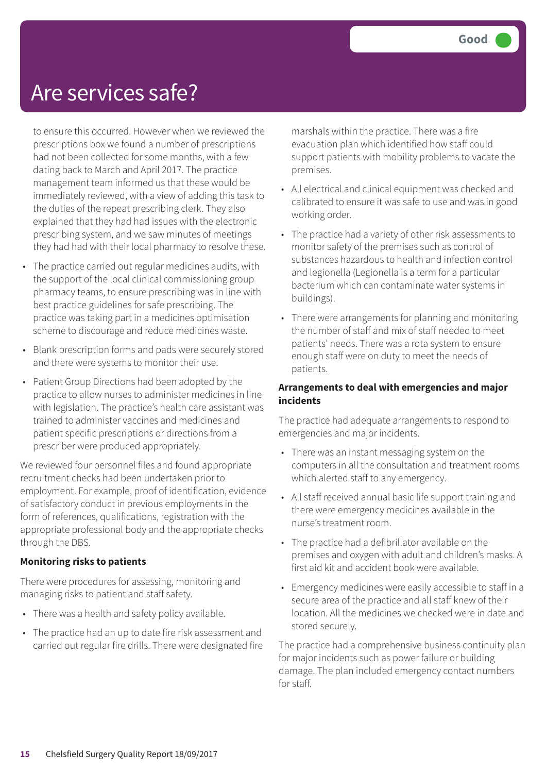### Are services safe?

to ensure this occurred. However when we reviewed the prescriptions box we found a number of prescriptions had not been collected for some months, with a few dating back to March and April 2017. The practice management team informed us that these would be immediately reviewed, with a view of adding this task to the duties of the repeat prescribing clerk. They also explained that they had had issues with the electronic prescribing system, and we saw minutes of meetings they had had with their local pharmacy to resolve these.

- The practice carried out regular medicines audits, with the support of the local clinical commissioning group pharmacy teams, to ensure prescribing was in line with best practice guidelines for safe prescribing. The practice was taking part in a medicines optimisation scheme to discourage and reduce medicines waste.
- Blank prescription forms and pads were securely stored and there were systems to monitor their use.
- Patient Group Directions had been adopted by the practice to allow nurses to administer medicines in line with legislation. The practice's health care assistant was trained to administer vaccines and medicines and patient specific prescriptions or directions from a prescriber were produced appropriately.

We reviewed four personnel files and found appropriate recruitment checks had been undertaken prior to employment. For example, proof of identification, evidence of satisfactory conduct in previous employments in the form of references, qualifications, registration with the appropriate professional body and the appropriate checks through the DBS.

#### **Monitoring risks to patients**

There were procedures for assessing, monitoring and managing risks to patient and staff safety.

- There was a health and safety policy available.
- The practice had an up to date fire risk assessment and carried out regular fire drills. There were designated fire

marshals within the practice. There was a fire evacuation plan which identified how staff could support patients with mobility problems to vacate the premises.

- All electrical and clinical equipment was checked and calibrated to ensure it was safe to use and was in good working order.
- The practice had a variety of other risk assessments to monitor safety of the premises such as control of substances hazardous to health and infection control and legionella (Legionella is a term for a particular bacterium which can contaminate water systems in buildings).
- There were arrangements for planning and monitoring the number of staff and mix of staff needed to meet patients' needs. There was a rota system to ensure enough staff were on duty to meet the needs of patients.

#### **Arrangements to deal with emergencies and major incidents**

The practice had adequate arrangements to respond to emergencies and major incidents.

- There was an instant messaging system on the computers in all the consultation and treatment rooms which alerted staff to any emergency.
- All staff received annual basic life support training and there were emergency medicines available in the nurse's treatment room.
- The practice had a defibrillator available on the premises and oxygen with adult and children's masks. A first aid kit and accident book were available.
- Emergency medicines were easily accessible to staff in a secure area of the practice and all staff knew of their location. All the medicines we checked were in date and stored securely.

The practice had a comprehensive business continuity plan for major incidents such as power failure or building damage. The plan included emergency contact numbers for staff.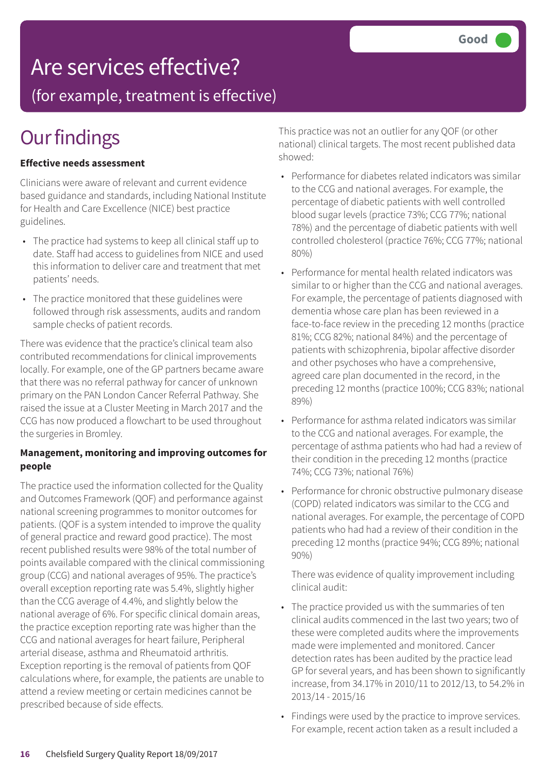### Are services effective?

(for example, treatment is effective)

# **Our findings**

#### **Effective needs assessment**

Clinicians were aware of relevant and current evidence based guidance and standards, including National Institute for Health and Care Excellence (NICE) best practice guidelines.

- The practice had systems to keep all clinical staff up to date. Staff had access to guidelines from NICE and used this information to deliver care and treatment that met patients' needs.
- The practice monitored that these guidelines were followed through risk assessments, audits and random sample checks of patient records.

There was evidence that the practice's clinical team also contributed recommendations for clinical improvements locally. For example, one of the GP partners became aware that there was no referral pathway for cancer of unknown primary on the PAN London Cancer Referral Pathway. She raised the issue at a Cluster Meeting in March 2017 and the CCG has now produced a flowchart to be used throughout the surgeries in Bromley.

#### **Management, monitoring and improving outcomes for people**

The practice used the information collected for the Quality and Outcomes Framework (QOF) and performance against national screening programmes to monitor outcomes for patients. (QOF is a system intended to improve the quality of general practice and reward good practice). The most recent published results were 98% of the total number of points available compared with the clinical commissioning group (CCG) and national averages of 95%. The practice's overall exception reporting rate was 5.4%, slightly higher than the CCG average of 4.4%, and slightly below the national average of 6%. For specific clinical domain areas, the practice exception reporting rate was higher than the CCG and national averages for heart failure, Peripheral arterial disease, asthma and Rheumatoid arthritis. Exception reporting is the removal of patients from QOF calculations where, for example, the patients are unable to attend a review meeting or certain medicines cannot be prescribed because of side effects.

This practice was not an outlier for any QOF (or other national) clinical targets. The most recent published data showed:

- Performance for diabetes related indicators was similar to the CCG and national averages. For example, the percentage of diabetic patients with well controlled blood sugar levels (practice 73%; CCG 77%; national 78%) and the percentage of diabetic patients with well controlled cholesterol (practice 76%; CCG 77%; national 80%)
- Performance for mental health related indicators was similar to or higher than the CCG and national averages. For example, the percentage of patients diagnosed with dementia whose care plan has been reviewed in a face-to-face review in the preceding 12 months (practice 81%; CCG 82%; national 84%) and the percentage of patients with schizophrenia, bipolar affective disorder and other psychoses who have a comprehensive, agreed care plan documented in the record, in the preceding 12 months (practice 100%; CCG 83%; national 89%)
- Performance for asthma related indicators was similar to the CCG and national averages. For example, the percentage of asthma patients who had had a review of their condition in the preceding 12 months (practice 74%; CCG 73%; national 76%)
- Performance for chronic obstructive pulmonary disease (COPD) related indicators was similar to the CCG and national averages. For example, the percentage of COPD patients who had had a review of their condition in the preceding 12 months (practice 94%; CCG 89%; national 90%)

There was evidence of quality improvement including clinical audit:

- The practice provided us with the summaries of ten clinical audits commenced in the last two years; two of these were completed audits where the improvements made were implemented and monitored. Cancer detection rates has been audited by the practice lead GP for several years, and has been shown to significantly increase, from 34.17% in 2010/11 to 2012/13, to 54.2% in 2013/14 - 2015/16
- Findings were used by the practice to improve services. For example, recent action taken as a result included a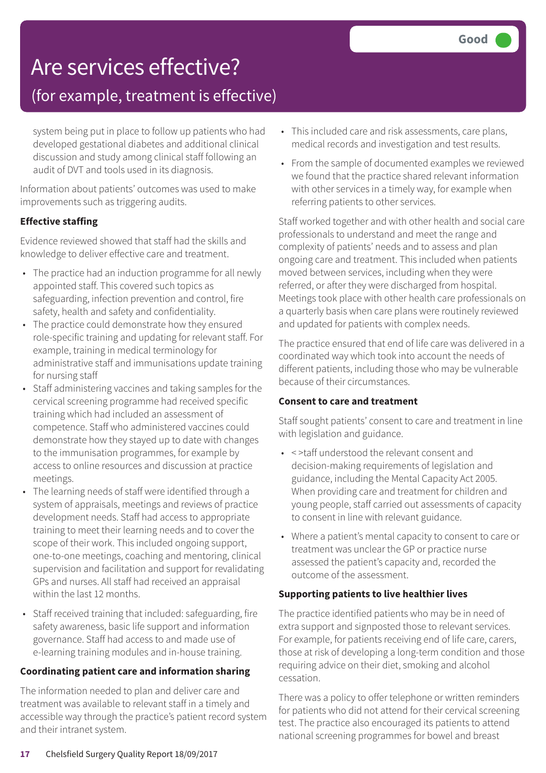### Are services effective?

### (for example, treatment is effective)

system being put in place to follow up patients who had developed gestational diabetes and additional clinical discussion and study among clinical staff following an audit of DVT and tools used in its diagnosis.

Information about patients' outcomes was used to make improvements such as triggering audits.

#### **Effective staffing**

Evidence reviewed showed that staff had the skills and knowledge to deliver effective care and treatment.

- The practice had an induction programme for all newly appointed staff. This covered such topics as safeguarding, infection prevention and control, fire safety, health and safety and confidentiality.
- The practice could demonstrate how they ensured role-specific training and updating for relevant staff. For example, training in medical terminology for administrative staff and immunisations update training for nursing staff
- Staff administering vaccines and taking samples for the cervical screening programme had received specific training which had included an assessment of competence. Staff who administered vaccines could demonstrate how they stayed up to date with changes to the immunisation programmes, for example by access to online resources and discussion at practice meetings.
- The learning needs of staff were identified through a system of appraisals, meetings and reviews of practice development needs. Staff had access to appropriate training to meet their learning needs and to cover the scope of their work. This included ongoing support, one-to-one meetings, coaching and mentoring, clinical supervision and facilitation and support for revalidating GPs and nurses. All staff had received an appraisal within the last 12 months.
- Staff received training that included: safeguarding, fire safety awareness, basic life support and information governance. Staff had access to and made use of e-learning training modules and in-house training.

#### **Coordinating patient care and information sharing**

The information needed to plan and deliver care and treatment was available to relevant staff in a timely and accessible way through the practice's patient record system and their intranet system.

- This included care and risk assessments, care plans, medical records and investigation and test results.
- From the sample of documented examples we reviewed we found that the practice shared relevant information with other services in a timely way, for example when referring patients to other services.

Staff worked together and with other health and social care professionals to understand and meet the range and complexity of patients' needs and to assess and plan ongoing care and treatment. This included when patients moved between services, including when they were referred, or after they were discharged from hospital. Meetings took place with other health care professionals on a quarterly basis when care plans were routinely reviewed and updated for patients with complex needs.

The practice ensured that end of life care was delivered in a coordinated way which took into account the needs of different patients, including those who may be vulnerable because of their circumstances.

#### **Consent to care and treatment**

Staff sought patients' consent to care and treatment in line with legislation and guidance.

- < >taff understood the relevant consent and decision-making requirements of legislation and guidance, including the Mental Capacity Act 2005. When providing care and treatment for children and young people, staff carried out assessments of capacity to consent in line with relevant guidance.
- Where a patient's mental capacity to consent to care or treatment was unclear the GP or practice nurse assessed the patient's capacity and, recorded the outcome of the assessment.

#### **Supporting patients to live healthier lives**

The practice identified patients who may be in need of extra support and signposted those to relevant services. For example, for patients receiving end of life care, carers, those at risk of developing a long-term condition and those requiring advice on their diet, smoking and alcohol cessation.

There was a policy to offer telephone or written reminders for patients who did not attend for their cervical screening test. The practice also encouraged its patients to attend national screening programmes for bowel and breast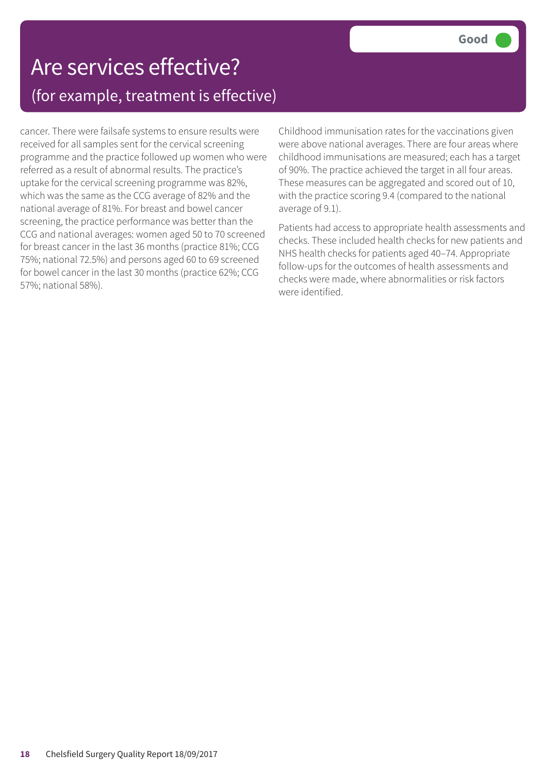### Are services effective? (for example, treatment is effective)

cancer. There were failsafe systems to ensure results were received for all samples sent for the cervical screening programme and the practice followed up women who were referred as a result of abnormal results. The practice's uptake for the cervical screening programme was 82%, which was the same as the CCG average of 82% and the national average of 81%. For breast and bowel cancer screening, the practice performance was better than the CCG and national averages: women aged 50 to 70 screened for breast cancer in the last 36 months (practice 81%; CCG 75%; national 72.5%) and persons aged 60 to 69 screened for bowel cancer in the last 30 months (practice 62%; CCG 57%; national 58%).

Childhood immunisation rates for the vaccinations given were above national averages. There are four areas where childhood immunisations are measured; each has a target of 90%. The practice achieved the target in all four areas. These measures can be aggregated and scored out of 10, with the practice scoring 9.4 (compared to the national average of 9.1).

Patients had access to appropriate health assessments and checks. These included health checks for new patients and NHS health checks for patients aged 40–74. Appropriate follow-ups for the outcomes of health assessments and checks were made, where abnormalities or risk factors were identified.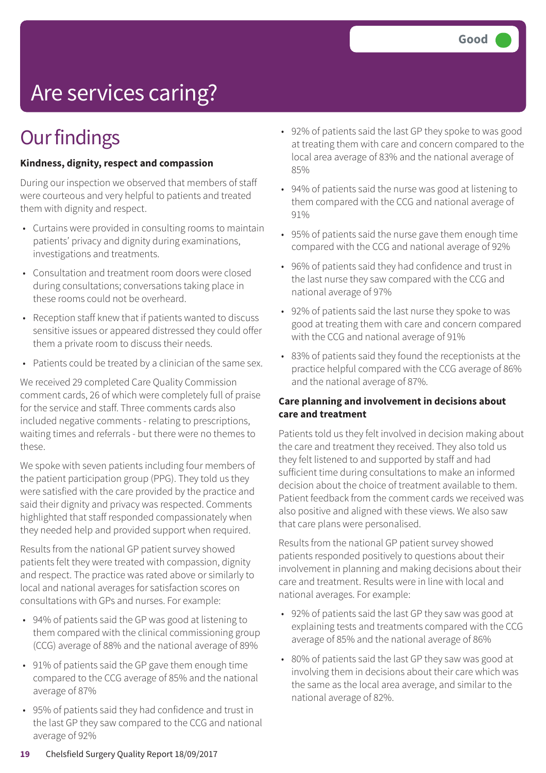# Are services caring?

### **Our findings**

#### **Kindness, dignity, respect and compassion**

During our inspection we observed that members of staff were courteous and very helpful to patients and treated them with dignity and respect.

- Curtains were provided in consulting rooms to maintain patients' privacy and dignity during examinations, investigations and treatments.
- Consultation and treatment room doors were closed during consultations; conversations taking place in these rooms could not be overheard.
- Reception staff knew that if patients wanted to discuss sensitive issues or appeared distressed they could offer them a private room to discuss their needs.
- Patients could be treated by a clinician of the same sex.

We received 29 completed Care Quality Commission comment cards, 26 of which were completely full of praise for the service and staff. Three comments cards also included negative comments - relating to prescriptions, waiting times and referrals - but there were no themes to these.

We spoke with seven patients including four members of the patient participation group (PPG). They told us they were satisfied with the care provided by the practice and said their dignity and privacy was respected. Comments highlighted that staff responded compassionately when they needed help and provided support when required.

Results from the national GP patient survey showed patients felt they were treated with compassion, dignity and respect. The practice was rated above or similarly to local and national averages for satisfaction scores on consultations with GPs and nurses. For example:

- 94% of patients said the GP was good at listening to them compared with the clinical commissioning group (CCG) average of 88% and the national average of 89%
- 91% of patients said the GP gave them enough time compared to the CCG average of 85% and the national average of 87%
- 95% of patients said they had confidence and trust in the last GP they saw compared to the CCG and national average of 92%
- 92% of patients said the last GP they spoke to was good at treating them with care and concern compared to the local area average of 83% and the national average of 85%
- 94% of patients said the nurse was good at listening to them compared with the CCG and national average of 91%
- 95% of patients said the nurse gave them enough time compared with the CCG and national average of 92%
- 96% of patients said they had confidence and trust in the last nurse they saw compared with the CCG and national average of 97%
- 92% of patients said the last nurse they spoke to was good at treating them with care and concern compared with the CCG and national average of 91%
- 83% of patients said they found the receptionists at the practice helpful compared with the CCG average of 86% and the national average of 87%.

#### **Care planning and involvement in decisions about care and treatment**

Patients told us they felt involved in decision making about the care and treatment they received. They also told us they felt listened to and supported by staff and had sufficient time during consultations to make an informed decision about the choice of treatment available to them. Patient feedback from the comment cards we received was also positive and aligned with these views. We also saw that care plans were personalised.

Results from the national GP patient survey showed patients responded positively to questions about their involvement in planning and making decisions about their care and treatment. Results were in line with local and national averages. For example:

- 92% of patients said the last GP they saw was good at explaining tests and treatments compared with the CCG average of 85% and the national average of 86%
- 80% of patients said the last GP they saw was good at involving them in decisions about their care which was the same as the local area average, and similar to the national average of 82%.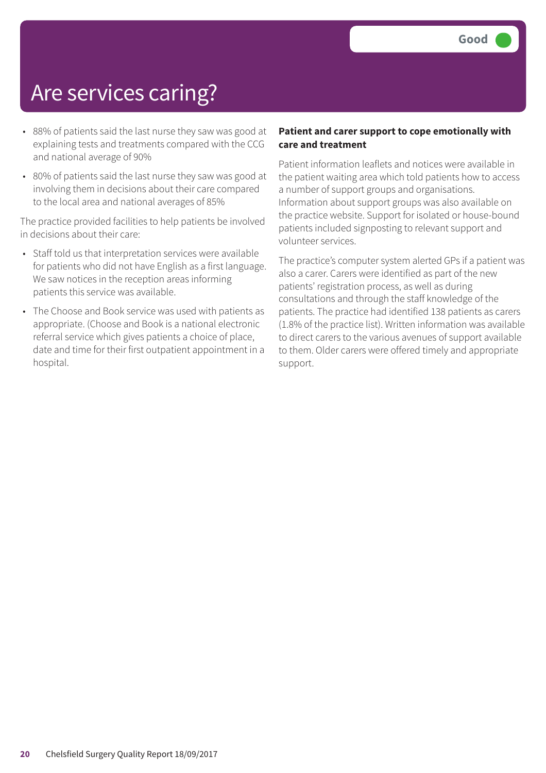### Are services caring?

- 88% of patients said the last nurse they saw was good at explaining tests and treatments compared with the CCG and national average of 90%
- 80% of patients said the last nurse they saw was good at involving them in decisions about their care compared to the local area and national averages of 85%

The practice provided facilities to help patients be involved in decisions about their care:

- Staff told us that interpretation services were available for patients who did not have English as a first language. We saw notices in the reception areas informing patients this service was available.
- The Choose and Book service was used with patients as appropriate. (Choose and Book is a national electronic referral service which gives patients a choice of place, date and time for their first outpatient appointment in a hospital.

#### **Patient and carer support to cope emotionally with care and treatment**

Patient information leaflets and notices were available in the patient waiting area which told patients how to access a number of support groups and organisations. Information about support groups was also available on the practice website. Support for isolated or house-bound patients included signposting to relevant support and volunteer services.

The practice's computer system alerted GPs if a patient was also a carer. Carers were identified as part of the new patients' registration process, as well as during consultations and through the staff knowledge of the patients. The practice had identified 138 patients as carers (1.8% of the practice list). Written information was available to direct carers to the various avenues of support available to them. Older carers were offered timely and appropriate support.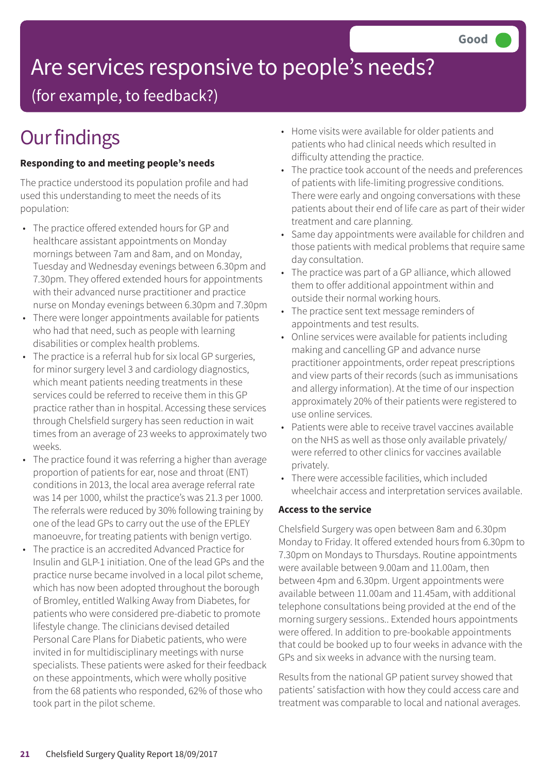# Are services responsive to people's needs?

(for example, to feedback?)

# **Our findings**

#### **Responding to and meeting people's needs**

The practice understood its population profile and had used this understanding to meet the needs of its population:

- The practice offered extended hours for GP and healthcare assistant appointments on Monday mornings between 7am and 8am, and on Monday, Tuesday and Wednesday evenings between 6.30pm and 7.30pm. They offered extended hours for appointments with their advanced nurse practitioner and practice nurse on Monday evenings between 6.30pm and 7.30pm
- There were longer appointments available for patients who had that need, such as people with learning disabilities or complex health problems.
- The practice is a referral hub for six local GP surgeries, for minor surgery level 3 and cardiology diagnostics, which meant patients needing treatments in these services could be referred to receive them in this GP practice rather than in hospital. Accessing these services through Chelsfield surgery has seen reduction in wait times from an average of 23 weeks to approximately two weeks.
- The practice found it was referring a higher than average proportion of patients for ear, nose and throat (ENT) conditions in 2013, the local area average referral rate was 14 per 1000, whilst the practice's was 21.3 per 1000. The referrals were reduced by 30% following training by one of the lead GPs to carry out the use of the EPLEY manoeuvre, for treating patients with benign vertigo.
- The practice is an accredited Advanced Practice for Insulin and GLP-1 initiation. One of the lead GPs and the practice nurse became involved in a local pilot scheme, which has now been adopted throughout the borough of Bromley, entitled Walking Away from Diabetes, for patients who were considered pre-diabetic to promote lifestyle change. The clinicians devised detailed Personal Care Plans for Diabetic patients, who were invited in for multidisciplinary meetings with nurse specialists. These patients were asked for their feedback on these appointments, which were wholly positive from the 68 patients who responded, 62% of those who took part in the pilot scheme.
- Home visits were available for older patients and patients who had clinical needs which resulted in difficulty attending the practice.
- The practice took account of the needs and preferences of patients with life-limiting progressive conditions. There were early and ongoing conversations with these patients about their end of life care as part of their wider treatment and care planning.
- Same day appointments were available for children and those patients with medical problems that require same day consultation.
- The practice was part of a GP alliance, which allowed them to offer additional appointment within and outside their normal working hours.
- The practice sent text message reminders of appointments and test results.
- Online services were available for patients including making and cancelling GP and advance nurse practitioner appointments, order repeat prescriptions and view parts of their records (such as immunisations and allergy information). At the time of our inspection approximately 20% of their patients were registered to use online services.
- Patients were able to receive travel vaccines available on the NHS as well as those only available privately/ were referred to other clinics for vaccines available privately.
- There were accessible facilities, which included wheelchair access and interpretation services available.

#### **Access to the service**

Chelsfield Surgery was open between 8am and 6.30pm Monday to Friday. It offered extended hours from 6.30pm to 7.30pm on Mondays to Thursdays. Routine appointments were available between 9.00am and 11.00am, then between 4pm and 6.30pm. Urgent appointments were available between 11.00am and 11.45am, with additional telephone consultations being provided at the end of the morning surgery sessions.. Extended hours appointments were offered. In addition to pre-bookable appointments that could be booked up to four weeks in advance with the GPs and six weeks in advance with the nursing team.

Results from the national GP patient survey showed that patients' satisfaction with how they could access care and treatment was comparable to local and national averages.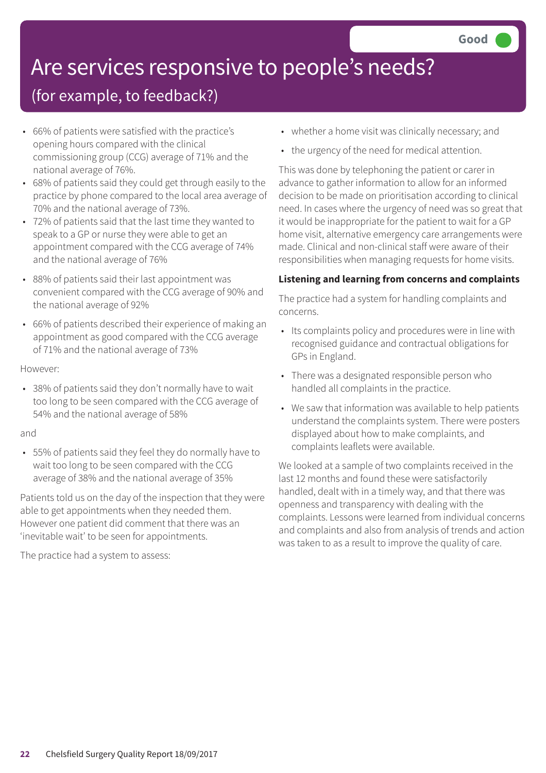# Are services responsive to people's needs?

### (for example, to feedback?)

- 66% of patients were satisfied with the practice's opening hours compared with the clinical commissioning group (CCG) average of 71% and the national average of 76%.
- 68% of patients said they could get through easily to the practice by phone compared to the local area average of 70% and the national average of 73%.
- 72% of patients said that the last time they wanted to speak to a GP or nurse they were able to get an appointment compared with the CCG average of 74% and the national average of 76%
- 88% of patients said their last appointment was convenient compared with the CCG average of 90% and the national average of 92%
- 66% of patients described their experience of making an appointment as good compared with the CCG average of 71% and the national average of 73%

#### However:

• 38% of patients said they don't normally have to wait too long to be seen compared with the CCG average of 54% and the national average of 58%

#### and

• 55% of patients said they feel they do normally have to wait too long to be seen compared with the CCG average of 38% and the national average of 35%

Patients told us on the day of the inspection that they were able to get appointments when they needed them. However one patient did comment that there was an 'inevitable wait' to be seen for appointments.

The practice had a system to assess:

- whether a home visit was clinically necessary; and
- the urgency of the need for medical attention.

This was done by telephoning the patient or carer in advance to gather information to allow for an informed decision to be made on prioritisation according to clinical need. In cases where the urgency of need was so great that it would be inappropriate for the patient to wait for a GP home visit, alternative emergency care arrangements were made. Clinical and non-clinical staff were aware of their responsibilities when managing requests for home visits.

#### **Listening and learning from concerns and complaints**

The practice had a system for handling complaints and concerns.

- Its complaints policy and procedures were in line with recognised guidance and contractual obligations for GPs in England.
- There was a designated responsible person who handled all complaints in the practice.
- We saw that information was available to help patients understand the complaints system. There were posters displayed about how to make complaints, and complaints leaflets were available.

We looked at a sample of two complaints received in the last 12 months and found these were satisfactorily handled, dealt with in a timely way, and that there was openness and transparency with dealing with the complaints. Lessons were learned from individual concerns and complaints and also from analysis of trends and action was taken to as a result to improve the quality of care.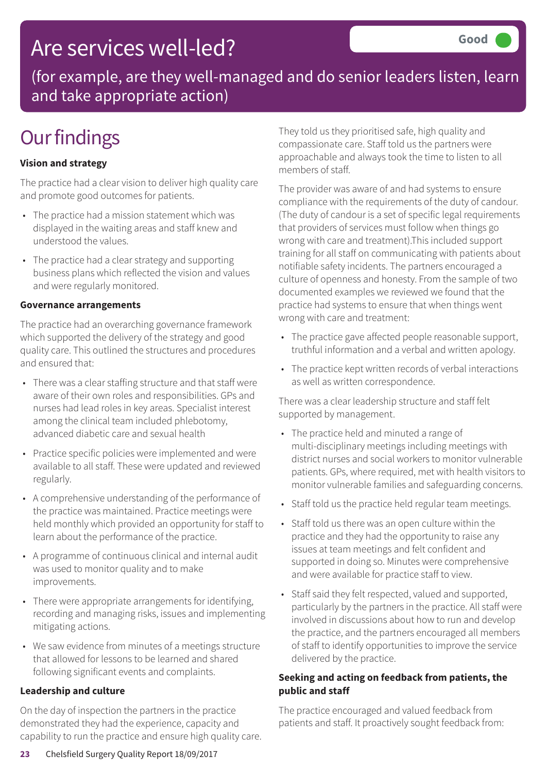### Are services well-led?

(for example, are they well-managed and do senior leaders listen, learn and take appropriate action)

# **Our findings**

#### **Vision and strategy**

The practice had a clear vision to deliver high quality care and promote good outcomes for patients.

- The practice had a mission statement which was displayed in the waiting areas and staff knew and understood the values.
- The practice had a clear strategy and supporting business plans which reflected the vision and values and were regularly monitored.

#### **Governance arrangements**

The practice had an overarching governance framework which supported the delivery of the strategy and good quality care. This outlined the structures and procedures and ensured that:

- There was a clear staffing structure and that staff were aware of their own roles and responsibilities. GPs and nurses had lead roles in key areas. Specialist interest among the clinical team included phlebotomy, advanced diabetic care and sexual health
- Practice specific policies were implemented and were available to all staff. These were updated and reviewed regularly.
- A comprehensive understanding of the performance of the practice was maintained. Practice meetings were held monthly which provided an opportunity for staff to learn about the performance of the practice.
- A programme of continuous clinical and internal audit was used to monitor quality and to make improvements.
- There were appropriate arrangements for identifying, recording and managing risks, issues and implementing mitigating actions.
- We saw evidence from minutes of a meetings structure that allowed for lessons to be learned and shared following significant events and complaints.

#### **Leadership and culture**

On the day of inspection the partners in the practice demonstrated they had the experience, capacity and capability to run the practice and ensure high quality care. They told us they prioritised safe, high quality and compassionate care. Staff told us the partners were approachable and always took the time to listen to all members of staff.

The provider was aware of and had systems to ensure compliance with the requirements of the duty of candour. (The duty of candour is a set of specific legal requirements that providers of services must follow when things go wrong with care and treatment).This included support training for all staff on communicating with patients about notifiable safety incidents. The partners encouraged a culture of openness and honesty. From the sample of two documented examples we reviewed we found that the practice had systems to ensure that when things went wrong with care and treatment:

- The practice gave affected people reasonable support, truthful information and a verbal and written apology.
- The practice kept written records of verbal interactions as well as written correspondence.

There was a clear leadership structure and staff felt supported by management.

- The practice held and minuted a range of multi-disciplinary meetings including meetings with district nurses and social workers to monitor vulnerable patients. GPs, where required, met with health visitors to monitor vulnerable families and safeguarding concerns.
- Staff told us the practice held regular team meetings.
- Staff told us there was an open culture within the practice and they had the opportunity to raise any issues at team meetings and felt confident and supported in doing so. Minutes were comprehensive and were available for practice staff to view.
- Staff said they felt respected, valued and supported, particularly by the partners in the practice. All staff were involved in discussions about how to run and develop the practice, and the partners encouraged all members of staff to identify opportunities to improve the service delivered by the practice.

#### **Seeking and acting on feedback from patients, the public and staff**

The practice encouraged and valued feedback from patients and staff. It proactively sought feedback from: